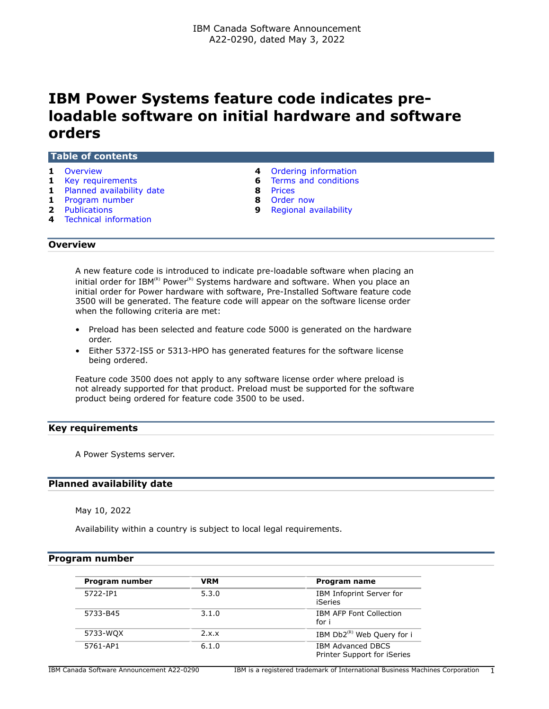# **IBM Power Systems feature code indicates preloadable software on initial hardware and software orders**

#### **Table of contents**

- 
- **1** [Key requirements](#page-0-1) **6** [Terms and conditions](#page-5-0)
- **1** [Planned availability date](#page-0-2) **8** [Prices](#page-7-0)
- **1** [Program number](#page-0-3) **8** [Order now](#page-7-1)
- 
- **4** [Technical information](#page-3-1)
- **1** [Overview](#page-0-0) **4** [Ordering information](#page-3-0)
	-
	-
	-
- **2** [Publications](#page-1-0) **9** [Regional availability](#page-8-0)

# <span id="page-0-0"></span>**Overview**

A new feature code is introduced to indicate pre-loadable software when placing an initial order for IBM(R) Power<sup>(R)</sup> Systems hardware and software. When you place an initial order for Power hardware with software, Pre-Installed Software feature code 3500 will be generated. The feature code will appear on the software license order when the following criteria are met:

- Preload has been selected and feature code 5000 is generated on the hardware order.
- Either 5372-IS5 or 5313-HPO has generated features for the software license being ordered.

Feature code 3500 does not apply to any software license order where preload is not already supported for that product. Preload must be supported for the software product being ordered for feature code 3500 to be used.

# <span id="page-0-1"></span>**Key requirements**

A Power Systems server.

# <span id="page-0-2"></span>**Planned availability date**

May 10, 2022

Availability within a country is subject to local legal requirements.

# <span id="page-0-3"></span>**Program number**

| Program number | <b>VRM</b> | Program name                                            |
|----------------|------------|---------------------------------------------------------|
| 5722-TP1       | 5.3.0      | IBM Infoprint Server for<br><b>iSeries</b>              |
| 5733-B45       | 3.1.0      | <b>IBM AFP Font Collection</b><br>for i                 |
| 5733-WQX       | 2.x.x      | IBM $Db2^{(R)}$ Web Query for i                         |
| 5761-AP1       | 6.1.0      | <b>IBM Advanced DBCS</b><br>Printer Support for iSeries |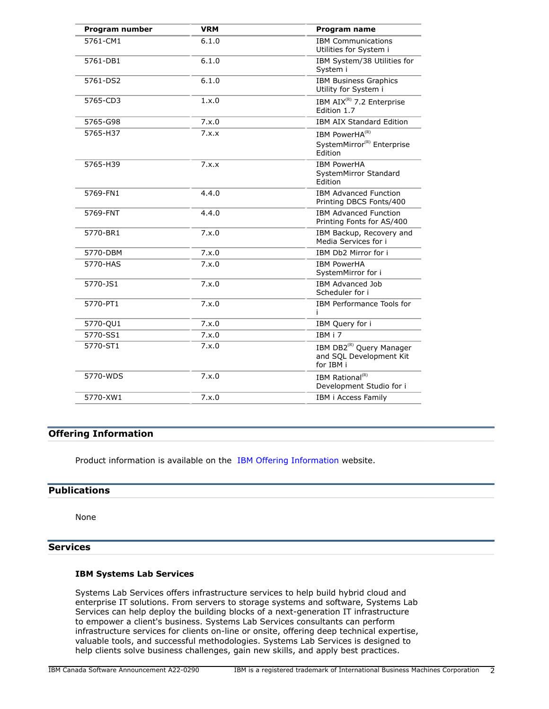| Program number | <b>VRM</b> | <b>Program name</b>                                                          |
|----------------|------------|------------------------------------------------------------------------------|
| 5761-CM1       | 6.1.0      | <b>IBM Communications</b><br>Utilities for System i                          |
| 5761-DB1       | 6.1.0      | IBM System/38 Utilities for<br>System i                                      |
| 5761-DS2       | 6.1.0      | <b>IBM Business Graphics</b><br>Utility for System i                         |
| 5765-CD3       | 1.x.0      | IBM AIX <sup>(R)</sup> 7.2 Enterprise<br>Edition 1.7                         |
| 5765-G98       | 7.x.0      | <b>IBM AIX Standard Edition</b>                                              |
| 5765-H37       | 7.x.x      | IBM PowerHA(R)<br>SystemMirror <sup>(R)</sup> Enterprise<br>Edition          |
| 5765-H39       | 7.x.x      | <b>IBM PowerHA</b><br>SystemMirror Standard<br>Edition                       |
| 5769-FN1       | 4.4.0      | <b>IBM Advanced Function</b><br>Printing DBCS Fonts/400                      |
| 5769-FNT       | 4.4.0      | <b>IBM Advanced Function</b><br>Printing Fonts for AS/400                    |
| 5770-BR1       | 7.x.0      | IBM Backup, Recovery and<br>Media Services for i                             |
| 5770-DBM       | 7.x.0      | IBM Db2 Mirror for i                                                         |
| 5770-HAS       | 7.x.0      | <b>IBM PowerHA</b><br>SystemMirror for i                                     |
| 5770-JS1       | 7.x.0      | <b>IBM Advanced Job</b><br>Scheduler for i                                   |
| 5770-PT1       | 7.x.0      | IBM Performance Tools for<br>i.                                              |
| 5770-QU1       | 7.x.0      | IBM Query for i                                                              |
| 5770-SS1       | 7.x.0      | IBM i 7                                                                      |
| 5770-ST1       | 7.x.0      | IBM DB2 <sup>(R)</sup> Query Manager<br>and SQL Development Kit<br>for IBM i |
| 5770-WDS       | 7.x.0      | IBM Rational <sup>(R)</sup><br>Development Studio for i                      |
| 5770-XW1       | 7.x.0      | IBM i Access Family                                                          |
|                |            |                                                                              |

# **Offering Information**

Product information is available on the [IBM Offering Information](http://www.ibm.com/common/ssi) website.

# <span id="page-1-0"></span>**Publications**

None

# **Services**

# **IBM Systems Lab Services**

Systems Lab Services offers infrastructure services to help build hybrid cloud and enterprise IT solutions. From servers to storage systems and software, Systems Lab Services can help deploy the building blocks of a next-generation IT infrastructure to empower a client's business. Systems Lab Services consultants can perform infrastructure services for clients on-line or onsite, offering deep technical expertise, valuable tools, and successful methodologies. Systems Lab Services is designed to help clients solve business challenges, gain new skills, and apply best practices.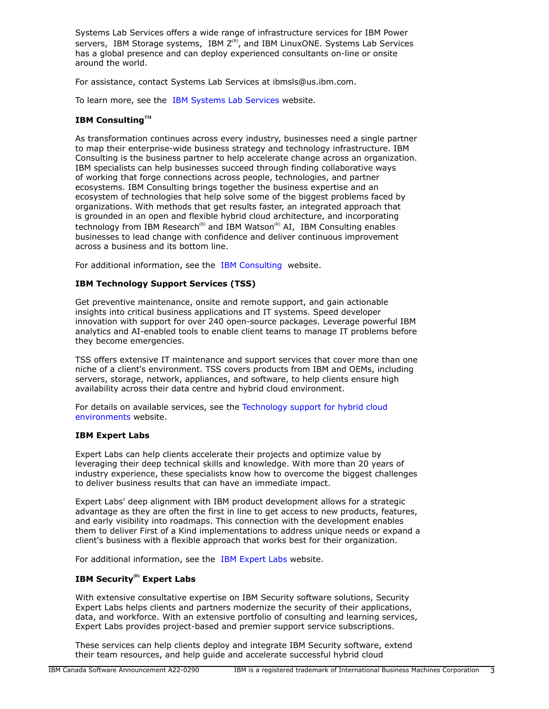Systems Lab Services offers a wide range of infrastructure services for IBM Power servers, IBM Storage systems, IBM  $Z^{(R)}$ , and IBM LinuxONE. Systems Lab Services has a global presence and can deploy experienced consultants on-line or onsite around the world.

For assistance, contact Systems Lab Services at ibmsls@us.ibm.com.

To learn more, see the [IBM Systems Lab Services](https://www.ibm.com/it-infrastructure/services/lab-services) website.

# **IBM ConsultingTM**

As transformation continues across every industry, businesses need a single partner to map their enterprise-wide business strategy and technology infrastructure. IBM Consulting is the business partner to help accelerate change across an organization. IBM specialists can help businesses succeed through finding collaborative ways of working that forge connections across people, technologies, and partner ecosystems. IBM Consulting brings together the business expertise and an ecosystem of technologies that help solve some of the biggest problems faced by organizations. With methods that get results faster, an integrated approach that is grounded in an open and flexible hybrid cloud architecture, and incorporating technology from IBM Research<sup>(R)</sup> and IBM Watson<sup>(R)</sup> AI, IBM Consulting enables businesses to lead change with confidence and deliver continuous improvement across a business and its bottom line.

For additional information, see the [IBM Consulting](https://www.ibm.com/consulting) website.

# **IBM Technology Support Services (TSS)**

Get preventive maintenance, onsite and remote support, and gain actionable insights into critical business applications and IT systems. Speed developer innovation with support for over 240 open-source packages. Leverage powerful IBM analytics and AI-enabled tools to enable client teams to manage IT problems before they become emergencies.

TSS offers extensive IT maintenance and support services that cover more than one niche of a client's environment. TSS covers products from IBM and OEMs, including servers, storage, network, appliances, and software, to help clients ensure high availability across their data centre and hybrid cloud environment.

For details on available services, see the [Technology support for hybrid cloud](https://www.ibm.com/services/technology-support) [environments](https://www.ibm.com/services/technology-support) website.

#### **IBM Expert Labs**

Expert Labs can help clients accelerate their projects and optimize value by leveraging their deep technical skills and knowledge. With more than 20 years of industry experience, these specialists know how to overcome the biggest challenges to deliver business results that can have an immediate impact.

Expert Labs' deep alignment with IBM product development allows for a strategic advantage as they are often the first in line to get access to new products, features, and early visibility into roadmaps. This connection with the development enables them to deliver First of a Kind implementations to address unique needs or expand a client's business with a flexible approach that works best for their organization.

For additional information, see the [IBM Expert Labs](https://www.ibm.com/products/expertlabs) website.

# **IBM Security(R) Expert Labs**

With extensive consultative expertise on IBM Security software solutions, Security Expert Labs helps clients and partners modernize the security of their applications, data, and workforce. With an extensive portfolio of consulting and learning services, Expert Labs provides project-based and premier support service subscriptions.

These services can help clients deploy and integrate IBM Security software, extend their team resources, and help guide and accelerate successful hybrid cloud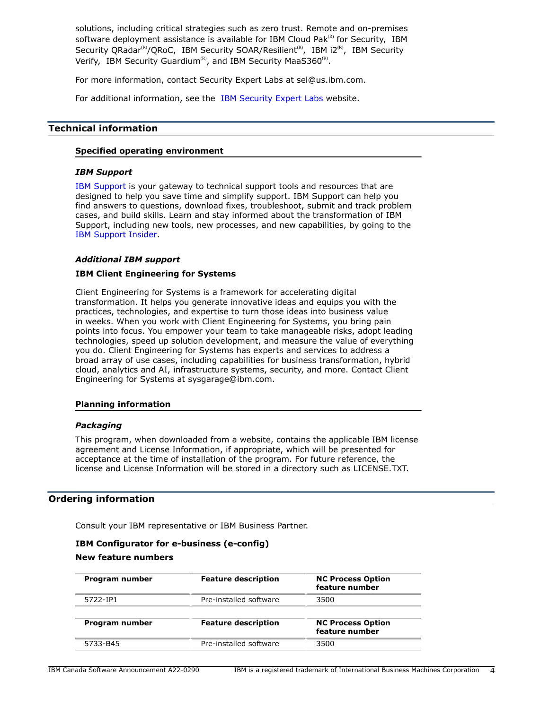solutions, including critical strategies such as zero trust. Remote and on-premises software deployment assistance is available for IBM Cloud Pak $R<sup>(R)</sup>$  for Security, IBM Security QRadar<sup>(R)</sup>/QRoC, IBM Security SOAR/Resilient<sup>(R)</sup>, IBM i2<sup>(R)</sup>, IBM Security Verify, IBM Security Guardium<sup>(R)</sup>, and IBM Security MaaS360<sup>(R)</sup>.

For more information, contact Security Expert Labs at sel@us.ibm.com.

For additional information, see the [IBM Security Expert Labs](https://www.ibm.com/security/security-expert-labs) website.

# <span id="page-3-1"></span>**Technical information**

#### **Specified operating environment**

#### *IBM Support*

[IBM Support](https://www.ibm.com/support) is your gateway to technical support tools and resources that are designed to help you save time and simplify support. IBM Support can help you find answers to questions, download fixes, troubleshoot, submit and track problem cases, and build skills. Learn and stay informed about the transformation of IBM Support, including new tools, new processes, and new capabilities, by going to the [IBM Support Insider](https://www.ibm.com/support/insider).

# *Additional IBM support*

# **IBM Client Engineering for Systems**

Client Engineering for Systems is a framework for accelerating digital transformation. It helps you generate innovative ideas and equips you with the practices, technologies, and expertise to turn those ideas into business value in weeks. When you work with Client Engineering for Systems, you bring pain points into focus. You empower your team to take manageable risks, adopt leading technologies, speed up solution development, and measure the value of everything you do. Client Engineering for Systems has experts and services to address a broad array of use cases, including capabilities for business transformation, hybrid cloud, analytics and AI, infrastructure systems, security, and more. Contact Client Engineering for Systems at sysgarage@ibm.com.

#### **Planning information**

#### *Packaging*

This program, when downloaded from a website, contains the applicable IBM license agreement and License Information, if appropriate, which will be presented for acceptance at the time of installation of the program. For future reference, the license and License Information will be stored in a directory such as LICENSE.TXT.

# <span id="page-3-0"></span>**Ordering information**

Consult your IBM representative or IBM Business Partner.

# **IBM Configurator for e-business (e-config) New feature numbers**

| Program number | <b>Feature description</b> | <b>NC Process Option</b><br>feature number |
|----------------|----------------------------|--------------------------------------------|
| 5722-TP1       | Pre-installed software     | 3500                                       |
|                |                            |                                            |
| Program number | <b>Feature description</b> | <b>NC Process Option</b><br>feature number |
| 5733-B45       | Pre-installed software     | 3500                                       |
|                |                            |                                            |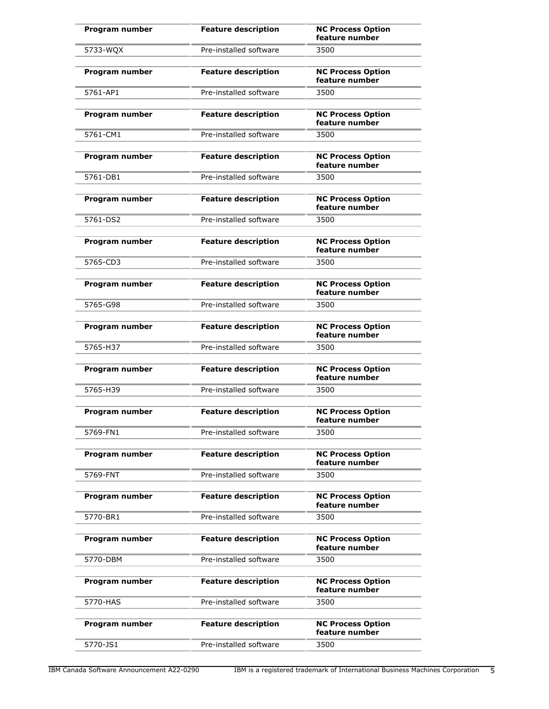| Program number | <b>Feature description</b> | <b>NC Process Option</b><br>feature number |
|----------------|----------------------------|--------------------------------------------|
| 5733-WQX       | Pre-installed software     | 3500                                       |
| Program number | <b>Feature description</b> | <b>NC Process Option</b><br>feature number |
| 5761-AP1       | Pre-installed software     | 3500                                       |
| Program number | <b>Feature description</b> | <b>NC Process Option</b><br>feature number |
| 5761-CM1       | Pre-installed software     | 3500                                       |
| Program number | <b>Feature description</b> | <b>NC Process Option</b><br>feature number |
| 5761-DB1       | Pre-installed software     | 3500                                       |
| Program number | <b>Feature description</b> | <b>NC Process Option</b><br>feature number |
| 5761-DS2       | Pre-installed software     | 3500                                       |
| Program number | <b>Feature description</b> | <b>NC Process Option</b><br>feature number |
| 5765-CD3       | Pre-installed software     | 3500                                       |
| Program number | <b>Feature description</b> | <b>NC Process Option</b><br>feature number |
| 5765-G98       | Pre-installed software     | 3500                                       |
| Program number | <b>Feature description</b> | <b>NC Process Option</b><br>feature number |
| 5765-H37       | Pre-installed software     | 3500                                       |
| Program number | <b>Feature description</b> | <b>NC Process Option</b><br>feature number |
| 5765-H39       | Pre-installed software     | 3500                                       |
| Program number | <b>Feature description</b> | <b>NC Process Option</b><br>feature number |
| 5769-FN1       | Pre-installed software     | 3500                                       |
| Program number | <b>Feature description</b> | <b>NC Process Option</b><br>feature number |
| 5769-FNT       | Pre-installed software     | 3500                                       |
| Program number | <b>Feature description</b> | <b>NC Process Option</b><br>feature number |
| 5770-BR1       | Pre-installed software     | 3500                                       |
| Program number | <b>Feature description</b> | <b>NC Process Option</b><br>feature number |
| 5770-DBM       | Pre-installed software     | 3500                                       |
| Program number | <b>Feature description</b> | <b>NC Process Option</b><br>feature number |
| 5770-HAS       | Pre-installed software     | 3500                                       |
| Program number | <b>Feature description</b> | <b>NC Process Option</b><br>feature number |
| 5770-JS1       | Pre-installed software     | 3500                                       |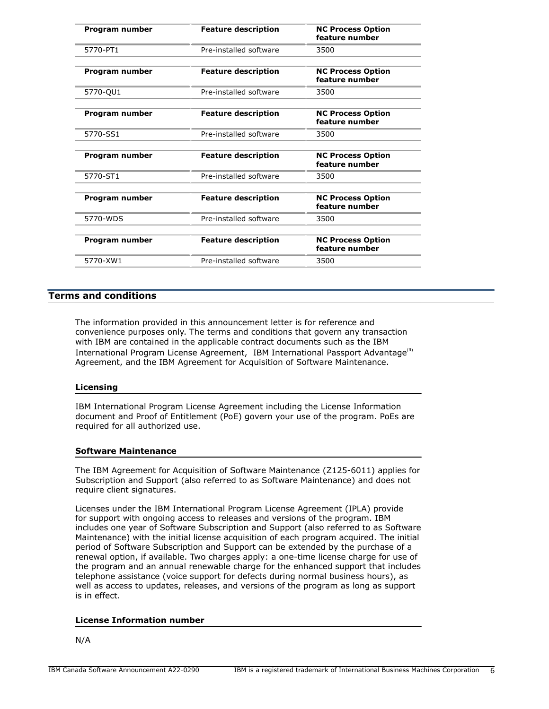| Program number | <b>Feature description</b> | <b>NC Process Option</b><br>feature number |
|----------------|----------------------------|--------------------------------------------|
| 5770-PT1       | Pre-installed software     | 3500                                       |
| Program number | <b>Feature description</b> | <b>NC Process Option</b><br>feature number |
| 5770-QU1       | Pre-installed software     | 3500                                       |
| Program number | <b>Feature description</b> | <b>NC Process Option</b><br>feature number |
| 5770-SS1       | Pre-installed software     | 3500                                       |
| Program number | <b>Feature description</b> | <b>NC Process Option</b><br>feature number |
| 5770-ST1       | Pre-installed software     | 3500                                       |
| Program number | <b>Feature description</b> | <b>NC Process Option</b><br>feature number |
| 5770-WDS       | Pre-installed software     | 3500                                       |
| Program number | <b>Feature description</b> | <b>NC Process Option</b><br>feature number |
| 5770-XW1       | Pre-installed software     | 3500                                       |
|                |                            |                                            |

# <span id="page-5-0"></span>**Terms and conditions**

The information provided in this announcement letter is for reference and convenience purposes only. The terms and conditions that govern any transaction with IBM are contained in the applicable contract documents such as the IBM International Program License Agreement, IBM International Passport Advantage<sup>(R)</sup> Agreement, and the IBM Agreement for Acquisition of Software Maintenance.

#### **Licensing**

IBM International Program License Agreement including the License Information document and Proof of Entitlement (PoE) govern your use of the program. PoEs are required for all authorized use.

#### **Software Maintenance**

The IBM Agreement for Acquisition of Software Maintenance (Z125-6011) applies for Subscription and Support (also referred to as Software Maintenance) and does not require client signatures.

Licenses under the IBM International Program License Agreement (IPLA) provide for support with ongoing access to releases and versions of the program. IBM includes one year of Software Subscription and Support (also referred to as Software Maintenance) with the initial license acquisition of each program acquired. The initial period of Software Subscription and Support can be extended by the purchase of a renewal option, if available. Two charges apply: a one-time license charge for use of the program and an annual renewable charge for the enhanced support that includes telephone assistance (voice support for defects during normal business hours), as well as access to updates, releases, and versions of the program as long as support is in effect.

# **License Information number**

# N/A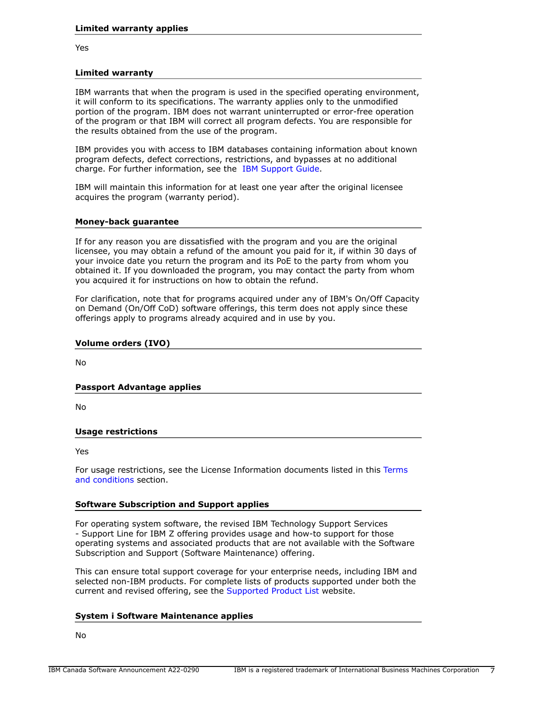Yes

#### **Limited warranty**

IBM warrants that when the program is used in the specified operating environment, it will conform to its specifications. The warranty applies only to the unmodified portion of the program. IBM does not warrant uninterrupted or error-free operation of the program or that IBM will correct all program defects. You are responsible for the results obtained from the use of the program.

IBM provides you with access to IBM databases containing information about known program defects, defect corrections, restrictions, and bypasses at no additional charge. For further information, see the [IBM Support Guide](http://www.ibm.com/support/customercare/sas/f/handbook/home.html).

IBM will maintain this information for at least one year after the original licensee acquires the program (warranty period).

#### **Money-back guarantee**

If for any reason you are dissatisfied with the program and you are the original licensee, you may obtain a refund of the amount you paid for it, if within 30 days of your invoice date you return the program and its PoE to the party from whom you obtained it. If you downloaded the program, you may contact the party from whom you acquired it for instructions on how to obtain the refund.

For clarification, note that for programs acquired under any of IBM's On/Off Capacity on Demand (On/Off CoD) software offerings, this term does not apply since these offerings apply to programs already acquired and in use by you.

#### **Volume orders (IVO)**

No

#### **Passport Advantage applies**

No

#### **Usage restrictions**

Yes

For usage restrictions, see the License Information documents listed in this [Terms](#page-5-0) [and conditions](#page-5-0) section.

#### **Software Subscription and Support applies**

For operating system software, the revised IBM Technology Support Services - Support Line for IBM Z offering provides usage and how-to support for those operating systems and associated products that are not available with the Software Subscription and Support (Software Maintenance) offering.

This can ensure total support coverage for your enterprise needs, including IBM and selected non-IBM products. For complete lists of products supported under both the current and revised offering, see the [Supported Product List](http://www-03.ibm.com/services/supline/products/index.html) website.

#### **System i Software Maintenance applies**

No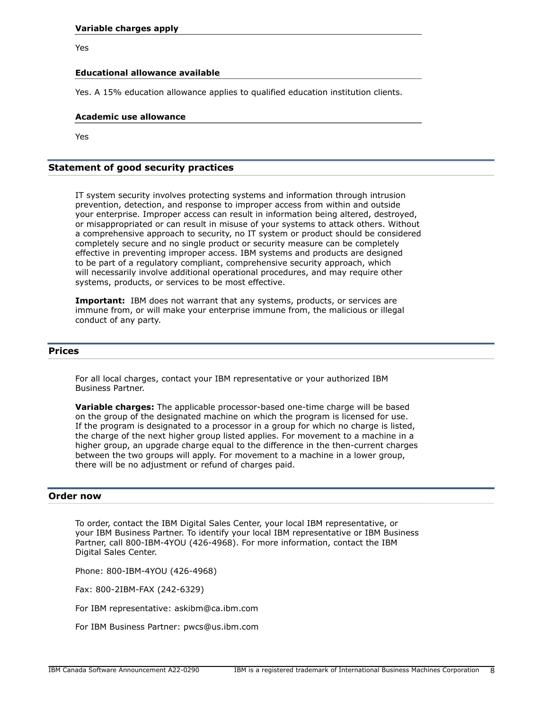Yes

## **Educational allowance available**

Yes. A 15% education allowance applies to qualified education institution clients.

#### **Academic use allowance**

Yes

# **Statement of good security practices**

IT system security involves protecting systems and information through intrusion prevention, detection, and response to improper access from within and outside your enterprise. Improper access can result in information being altered, destroyed, or misappropriated or can result in misuse of your systems to attack others. Without a comprehensive approach to security, no IT system or product should be considered completely secure and no single product or security measure can be completely effective in preventing improper access. IBM systems and products are designed to be part of a regulatory compliant, comprehensive security approach, which will necessarily involve additional operational procedures, and may require other systems, products, or services to be most effective.

**Important:** IBM does not warrant that any systems, products, or services are immune from, or will make your enterprise immune from, the malicious or illegal conduct of any party.

# <span id="page-7-0"></span>**Prices**

For all local charges, contact your IBM representative or your authorized IBM Business Partner.

**Variable charges:** The applicable processor-based one-time charge will be based on the group of the designated machine on which the program is licensed for use. If the program is designated to a processor in a group for which no charge is listed, the charge of the next higher group listed applies. For movement to a machine in a higher group, an upgrade charge equal to the difference in the then-current charges between the two groups will apply. For movement to a machine in a lower group, there will be no adjustment or refund of charges paid.

# <span id="page-7-1"></span>**Order now**

To order, contact the IBM Digital Sales Center, your local IBM representative, or your IBM Business Partner. To identify your local IBM representative or IBM Business Partner, call 800-IBM-4YOU (426-4968). For more information, contact the IBM Digital Sales Center.

Phone: 800-IBM-4YOU (426-4968)

Fax: 800-2IBM-FAX (242-6329)

For IBM representative: askibm@ca.ibm.com

For IBM Business Partner: pwcs@us.ibm.com